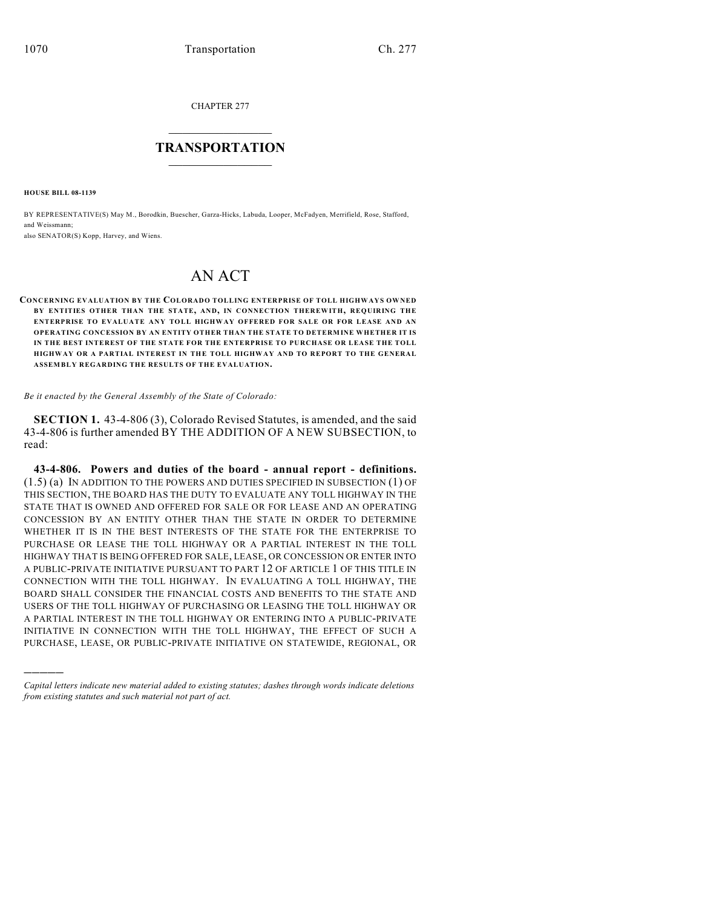CHAPTER 277

## $\mathcal{L}_\text{max}$  . The set of the set of the set of the set of the set of the set of the set of the set of the set of the set of the set of the set of the set of the set of the set of the set of the set of the set of the set **TRANSPORTATION**  $\_$   $\_$   $\_$   $\_$   $\_$   $\_$   $\_$   $\_$   $\_$

**HOUSE BILL 08-1139**

)))))

BY REPRESENTATIVE(S) May M., Borodkin, Buescher, Garza-Hicks, Labuda, Looper, McFadyen, Merrifield, Rose, Stafford, and Weissmann;

also SENATOR(S) Kopp, Harvey, and Wiens.

## AN ACT

**CONCERNING EVALUATION BY THE COLORADO TOLLING ENTERPRISE OF TOLL HIGHWAYS OWNED BY ENTITIES OTHER THAN THE STATE, AND, IN CONNECTION THEREWITH, REQUIRING THE ENTERPRISE TO EVALUATE ANY TOLL HIGHWAY OFFERED FOR SALE OR FOR LEASE AND AN OPERATING CONCESSION BY AN ENTITY OTHER THAN THE STATE TO DETERMINE WHETHER IT IS IN THE BEST INTEREST OF THE STATE FOR THE ENTERPRISE TO PURCHASE OR LEASE THE TOLL HIGHWAY OR A PARTIAL INTEREST IN THE TOLL HIGHWAY AND TO REPORT TO THE GENERAL ASSEMBLY REGARDING THE RESULTS OF THE EVALUATION.**

*Be it enacted by the General Assembly of the State of Colorado:*

**SECTION 1.** 43-4-806 (3), Colorado Revised Statutes, is amended, and the said 43-4-806 is further amended BY THE ADDITION OF A NEW SUBSECTION, to read:

**43-4-806. Powers and duties of the board - annual report - definitions.** (1.5) (a) IN ADDITION TO THE POWERS AND DUTIES SPECIFIED IN SUBSECTION (1) OF THIS SECTION, THE BOARD HAS THE DUTY TO EVALUATE ANY TOLL HIGHWAY IN THE STATE THAT IS OWNED AND OFFERED FOR SALE OR FOR LEASE AND AN OPERATING CONCESSION BY AN ENTITY OTHER THAN THE STATE IN ORDER TO DETERMINE WHETHER IT IS IN THE BEST INTERESTS OF THE STATE FOR THE ENTERPRISE TO PURCHASE OR LEASE THE TOLL HIGHWAY OR A PARTIAL INTEREST IN THE TOLL HIGHWAY THAT IS BEING OFFERED FOR SALE, LEASE, OR CONCESSION OR ENTER INTO A PUBLIC-PRIVATE INITIATIVE PURSUANT TO PART 12 OF ARTICLE 1 OF THIS TITLE IN CONNECTION WITH THE TOLL HIGHWAY. IN EVALUATING A TOLL HIGHWAY, THE BOARD SHALL CONSIDER THE FINANCIAL COSTS AND BENEFITS TO THE STATE AND USERS OF THE TOLL HIGHWAY OF PURCHASING OR LEASING THE TOLL HIGHWAY OR A PARTIAL INTEREST IN THE TOLL HIGHWAY OR ENTERING INTO A PUBLIC-PRIVATE INITIATIVE IN CONNECTION WITH THE TOLL HIGHWAY, THE EFFECT OF SUCH A PURCHASE, LEASE, OR PUBLIC-PRIVATE INITIATIVE ON STATEWIDE, REGIONAL, OR

*Capital letters indicate new material added to existing statutes; dashes through words indicate deletions from existing statutes and such material not part of act.*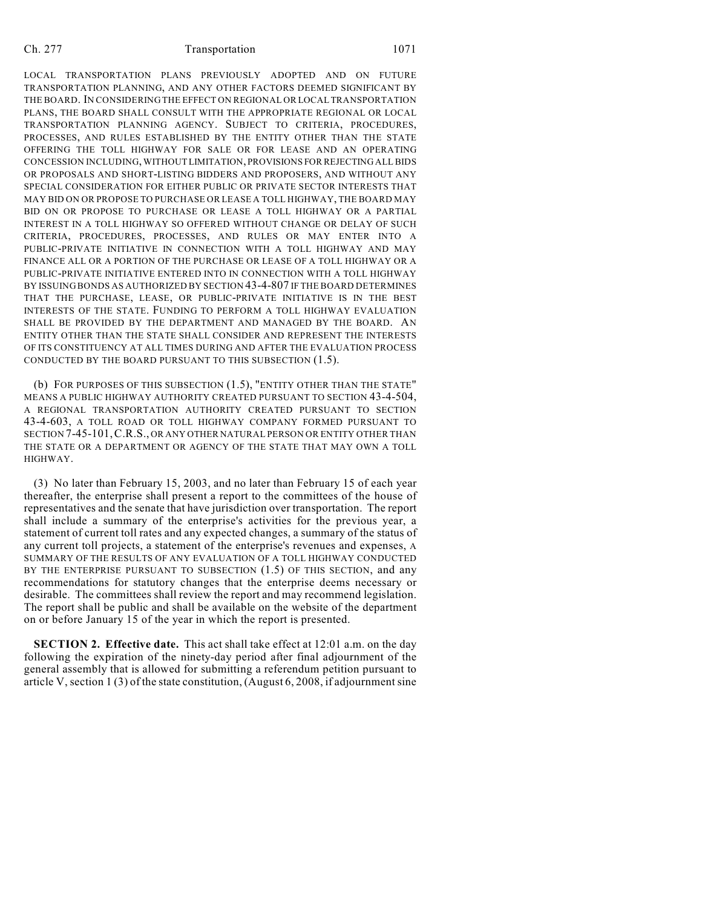## Ch. 277 Transportation 1071

LOCAL TRANSPORTATION PLANS PREVIOUSLY ADOPTED AND ON FUTURE TRANSPORTATION PLANNING, AND ANY OTHER FACTORS DEEMED SIGNIFICANT BY THE BOARD. IN CONSIDERING THE EFFECT ON REGIONAL OR LOCAL TRANSPORTATION PLANS, THE BOARD SHALL CONSULT WITH THE APPROPRIATE REGIONAL OR LOCAL TRANSPORTATION PLANNING AGENCY. SUBJECT TO CRITERIA, PROCEDURES, PROCESSES, AND RULES ESTABLISHED BY THE ENTITY OTHER THAN THE STATE OFFERING THE TOLL HIGHWAY FOR SALE OR FOR LEASE AND AN OPERATING CONCESSION INCLUDING, WITHOUT LIMITATION, PROVISIONS FOR REJECTING ALL BIDS OR PROPOSALS AND SHORT-LISTING BIDDERS AND PROPOSERS, AND WITHOUT ANY SPECIAL CONSIDERATION FOR EITHER PUBLIC OR PRIVATE SECTOR INTERESTS THAT MAY BID ON OR PROPOSE TO PURCHASE OR LEASE A TOLL HIGHWAY, THE BOARD MAY BID ON OR PROPOSE TO PURCHASE OR LEASE A TOLL HIGHWAY OR A PARTIAL INTEREST IN A TOLL HIGHWAY SO OFFERED WITHOUT CHANGE OR DELAY OF SUCH CRITERIA, PROCEDURES, PROCESSES, AND RULES OR MAY ENTER INTO A PUBLIC-PRIVATE INITIATIVE IN CONNECTION WITH A TOLL HIGHWAY AND MAY FINANCE ALL OR A PORTION OF THE PURCHASE OR LEASE OF A TOLL HIGHWAY OR A PUBLIC-PRIVATE INITIATIVE ENTERED INTO IN CONNECTION WITH A TOLL HIGHWAY BY ISSUING BONDS AS AUTHORIZED BY SECTION 43-4-807 IF THE BOARD DETERMINES THAT THE PURCHASE, LEASE, OR PUBLIC-PRIVATE INITIATIVE IS IN THE BEST INTERESTS OF THE STATE. FUNDING TO PERFORM A TOLL HIGHWAY EVALUATION SHALL BE PROVIDED BY THE DEPARTMENT AND MANAGED BY THE BOARD. AN ENTITY OTHER THAN THE STATE SHALL CONSIDER AND REPRESENT THE INTERESTS OF ITS CONSTITUENCY AT ALL TIMES DURING AND AFTER THE EVALUATION PROCESS CONDUCTED BY THE BOARD PURSUANT TO THIS SUBSECTION (1.5).

(b) FOR PURPOSES OF THIS SUBSECTION (1.5), "ENTITY OTHER THAN THE STATE" MEANS A PUBLIC HIGHWAY AUTHORITY CREATED PURSUANT TO SECTION 43-4-504, A REGIONAL TRANSPORTATION AUTHORITY CREATED PURSUANT TO SECTION 43-4-603, A TOLL ROAD OR TOLL HIGHWAY COMPANY FORMED PURSUANT TO SECTION 7-45-101,C.R.S., OR ANY OTHER NATURAL PERSON OR ENTITY OTHER THAN THE STATE OR A DEPARTMENT OR AGENCY OF THE STATE THAT MAY OWN A TOLL HIGHWAY.

(3) No later than February 15, 2003, and no later than February 15 of each year thereafter, the enterprise shall present a report to the committees of the house of representatives and the senate that have jurisdiction over transportation. The report shall include a summary of the enterprise's activities for the previous year, a statement of current toll rates and any expected changes, a summary of the status of any current toll projects, a statement of the enterprise's revenues and expenses, A SUMMARY OF THE RESULTS OF ANY EVALUATION OF A TOLL HIGHWAY CONDUCTED BY THE ENTERPRISE PURSUANT TO SUBSECTION (1.5) OF THIS SECTION, and any recommendations for statutory changes that the enterprise deems necessary or desirable. The committees shall review the report and may recommend legislation. The report shall be public and shall be available on the website of the department on or before January 15 of the year in which the report is presented.

**SECTION 2. Effective date.** This act shall take effect at 12:01 a.m. on the day following the expiration of the ninety-day period after final adjournment of the general assembly that is allowed for submitting a referendum petition pursuant to article V, section 1 (3) of the state constitution, (August 6, 2008, if adjournment sine